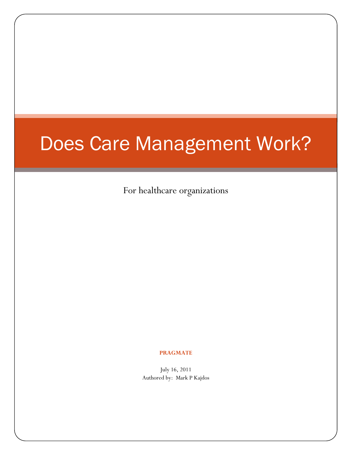# Does Care Management Work?

For healthcare organizations

#### **PRAGMATE**

July 16, 2011 Authored by: Mark P Kajdos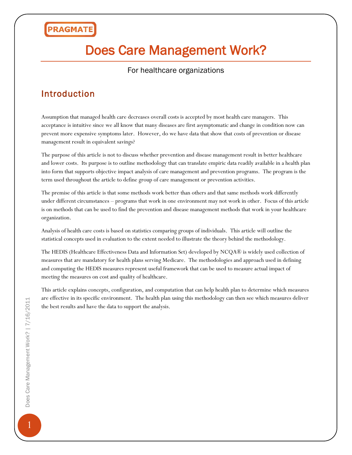## Does Care Management Work?

#### For healthcare organizations

### Introduction

Assumption that managed health care decreases overall costs is accepted by most health care managers. This acceptance is intuitive since we all know that many diseases are first asymptomatic and change in condition now can prevent more expensive symptoms later. However, do we have data that show that costs of prevention or disease management result in equivalent savings?

The purpose of this article is not to discuss whether prevention and disease management result in better healthcare and lower costs. Its purpose is to outline methodology that can translate empiric data readily available in a health plan into form that supports objective impact analysis of care management and prevention programs. The program is the term used throughout the article to define group of care management or prevention activities.

The premise of this article is that some methods work better than others and that same methods work differently under different circumstances – programs that work in one environment may not work in other. Focus of this article is on methods that can be used to find the prevention and disease management methods that work in your healthcare organization.

Analysis of health care costs is based on statistics comparing groups of individuals. This article will outline the statistical concepts used in evaluation to the extent needed to illustrate the theory behind the methodology.

The HEDIS (Healthcare Effectiveness Data and Information Set) developed by NCQA® is widely used collection of measures that are mandatory for health plans serving Medicare. The methodologies and approach used in defining and computing the HEDIS measures represent useful framework that can be used to measure actual impact of meeting the measures on cost and quality of healthcare.

This article explains concepts, configuration, and computation that can help health plan to determine which measures are effective in its specific environment. The health plan using this methodology can then see which measures deliver the best results and have the data to support the analysis.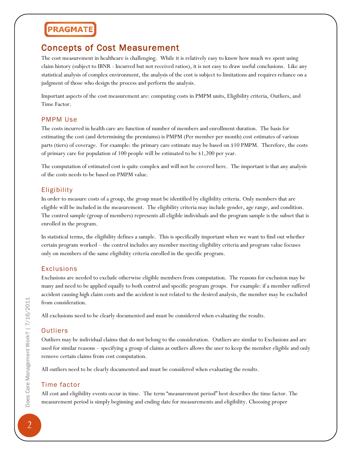### Concepts of Cost Measurement

The cost measurement in healthcare is challenging. While it is relatively easy to know how much we spent using claim history (subject to IBNR - Incurred but not received ratios), it is not easy to draw useful conclusions. Like any statistical analysis of complex environment, the analysis of the cost is subject to limitations and requires reliance on a judgment of those who design the process and perform the analysis.

Important aspects of the cost measurement are: computing costs in PMPM units, Eligibility criteria, Outliers, and Time Factor.

#### PMPM Use

The costs incurred in health care are function of number of members and enrollment duration. The basis for estimating the cost (and determining the premiums) is PMPM (Per member per month) cost estimates of various parts (tiers) of coverage. For example: the primary care estimate may be based on \$10 PMPM. Therefore, the costs of primary care for population of 100 people will be estimated to be \$1,200 per year.

The computation of estimated cost is quite complex and will not be covered here. The important is that any analysis of the costs needs to be based on PMPM value.

#### **Eligibility**

In order to measure costs of a group, the group must be identified by eligibility criteria. Only members that are eligible will be included in the measurement. The eligibility criteria may include gender, age range, and condition. The control sample (group of members) represents all eligible individuals and the program sample is the subset that is enrolled in the program.

In statistical terms, the eligibility defines a sample. This is specifically important when we want to find out whether certain program worked – the control includes any member meeting eligibility criteria and program value focuses only on members of the same eligibility criteria enrolled in the specific program.

#### **Exclusions**

Exclusions are needed to exclude otherwise eligible members from computation. The reasons for exclusion may be many and need to be applied equally to both control and specific program groups. For example: if a member suffered accident causing high claim costs and the accident is not related to the desired analysis, the member may be excluded from consideration.

All exclusions need to be clearly documented and must be considered when evaluating the results.

#### **Outliers**

Outliers may be individual claims that do not belong to the consideration. Outliers are similar to Exclusions and are used for similar reasons – specifying a group of claims as outliers allows the user to keep the member eligible and only remove certain claims from cost computation.

All outliers need to be clearly documented and must be considered when evaluating the results.

#### Time factor

All cost and eligibility events occur in time. The term "measurement period" best describes the time factor. The measurement period is simply beginning and ending date for measurements and eligibility. Choosing proper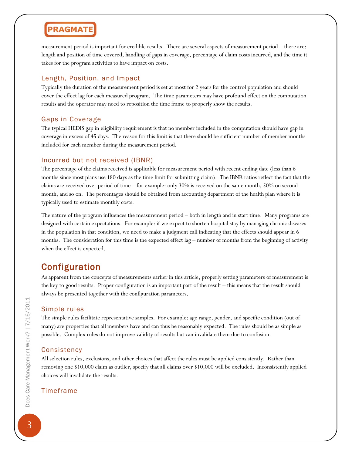measurement period is important for credible results. There are several aspects of measurement period – there are: length and position of time covered, handling of gaps in coverage, percentage of claim costs incurred, and the time it takes for the program activities to have impact on costs.

#### Length, Position, and Impact

Typically the duration of the measurement period is set at most for 2 years for the control population and should cover the effect lag for each measured program. The time parameters may have profound effect on the computation results and the operator may need to reposition the time frame to properly show the results.

#### Gaps in Coverage

The typical HEDIS gap in eligibility requirement is that no member included in the computation should have gap in coverage in excess of 45 days. The reason for this limit is that there should be sufficient number of member months included for each member during the measurement period.

#### Incurred but not received (IBNR)

The percentage of the claims received is applicable for measurement period with recent ending date (less than 6 months since most plans use 180 days as the time limit for submitting claim). The IBNR ratios reflect the fact that the claims are received over period of time – for example: only 30% is received on the same month, 50% on second month, and so on. The percentages should be obtained from accounting department of the health plan where it is typically used to estimate monthly costs.

The nature of the program influences the measurement period – both in length and in start time. Many programs are designed with certain expectations. For example: if we expect to shorten hospital stay by managing chronic diseases in the population in that condition, we need to make a judgment call indicating that the effects should appear in 6 months. The consideration for this time is the expected effect lag – number of months from the beginning of activity when the effect is expected.

### Configuration

As apparent from the concepts of measurements earlier in this article, properly setting parameters of measurement is the key to good results. Proper configuration is an important part of the result – this means that the result should always be presented together with the configuration parameters.

#### Simple rules

The simple rules facilitate representative samples. For example: age range, gender, and specific condition (out of many) are properties that all members have and can thus be reasonably expected. The rules should be as simple as possible. Complex rules do not improve validity of results but can invalidate them due to confusion.

#### **Consistency**

All selection rules, exclusions, and other choices that affect the rules must be applied consistently. Rather than removing one \$10,000 claim as outlier, specify that all claims over \$10,000 will be excluded. Inconsistently applied choices will invalidate the results.

#### Timeframe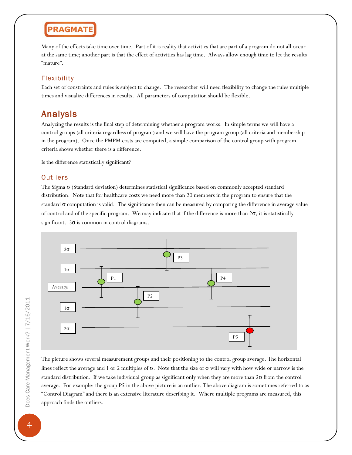

Many of the effects take time over time. Part of it is reality that activities that are part of a program do not all occur at the same time; another part is that the effect of activities has lag time. Always allow enough time to let the results "mature".

#### Flexibility

Each set of constraints and rules is subject to change. The researcher will need flexibility to change the rules multiple times and visualize differences in results. All parameters of computation should be flexible.

### Analysis

Analyzing the results is the final step of determining whether a program works. In simple terms we will have a control groups (all criteria regardless of program) and we will have the program group (all criteria and membership in the program). Once the PMPM costs are computed, a simple comparison of the control group with program criteria shows whether there is a difference.

Is the difference statistically significant?

#### **Outliers**

The Sigma σ (Standard deviation) determines statistical significance based on commonly accepted standard distribution. Note that for healthcare costs we need more than 20 members in the program to ensure that the standard σ computation is valid. The significance then can be measured by comparing the difference in average value of control and of the specific program. We may indicate that if the difference is more than  $2\sigma$ , it is statistically significant.  $3\sigma$  is common in control diagrams.



The picture shows several measurement groups and their positioning to the control group average. The horizontal lines reflect the average and 1 or 2 multiples of  $\sigma$ . Note that the size of  $\sigma$  will vary with how wide or narrow is the standard distribution. If we take individual group as significant only when they are more than 2σ from the control average. For example: the group P5 in the above picture is an outlier. The above diagram is sometimes referred to as "Control Diagram" and there is an extensive literature describing it. Where multiple programs are measured, this approach finds the outliers.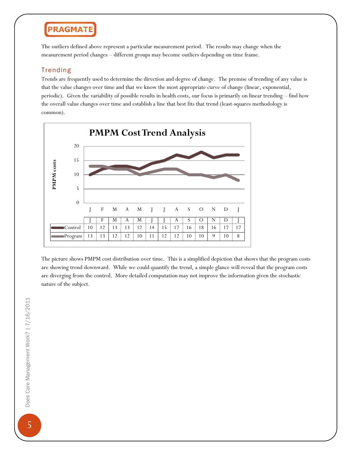The outliers defined above represent a particular measurement period. The results may change when the measurement period changes – different groups may become outliers depending on time frame.

#### Trending

Trends are frequently used to determine the direction and degree of change. The premise of trending of any value is that the value changes over time and that we know the most appropriate curve of change (linear, exponential, periodic). Given the variability of possible results in health costs, our focus is primarily on linear trending – find how the overall value changes over time and establish a line that best fits that trend (least-squares methodology is common).



The picture shows PMPM cost distribution over time. This is a simplified depiction that shows that the program costs are showing trend downward. While we could quantify the trend, a simple glance will reveal that the program costs are diverging from the control. More detailed computation may not improve the information given the stochastic nature of the subject.